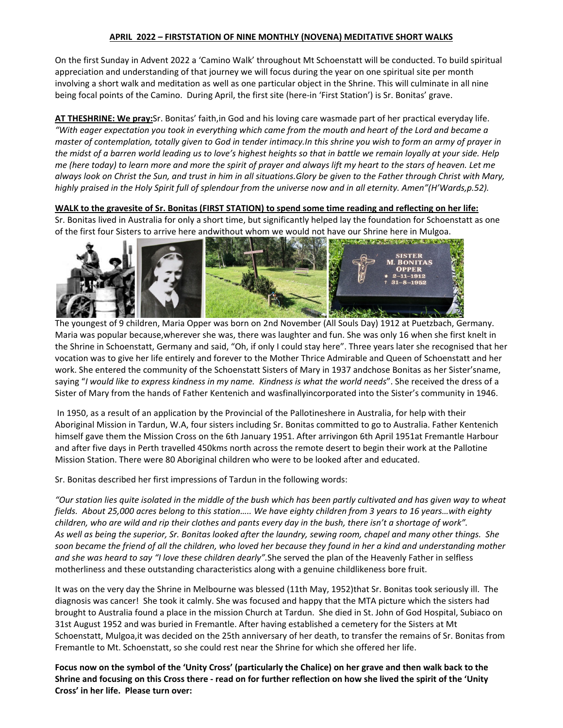## **APRIL 2022 – FIRSTSTATION OF NINE MONTHLY (NOVENA) MEDITATIVE SHORT WALKS**

On the first Sunday in Advent 2022 a 'Camino Walk' throughout Mt Schoenstatt will be conducted. To build spiritual appreciation and understanding of that journey we will focus during the year on one spiritual site per month involving a short walk and meditation as well as one particular object in the Shrine. This will culminate in all nine being focal points of the Camino. During April, the first site (here-in 'First Station') is Sr. Bonitas' grave.

**AT THESHRINE: We pray:**Sr. Bonitas' faith,in God and his loving care wasmade part of her practical everyday life. "With eager expectation you took in everything which came from the mouth and heart of the Lord and became a master of contemplation, totally given to God in tender intimacy. In this shrine you wish to form an army of prayer in the midst of a barren world leading us to love's highest heights so that in battle we remain loyally at your side. Help me (here today) to learn more and more the spirit of prayer and always lift my heart to the stars of heaven. Let me always look on Christ the Sun, and trust in him in all situations. Glory be given to the Father through Christ with Mary, highly praised in the Holy Spirit full of splendour from the universe now and in all eternity. Amen"(H'Wards,p.52).

## WALK to the gravesite of Sr. Bonitas (FIRST STATION) to spend some time reading and reflecting on her life:

Sr. Bonitas lived in Australia for only a short time, but significantly helped lay the foundation for Schoenstatt as one of the first four Sisters to arrive here andwithout whom we would not have our Shrine here in Mulgoa.



The youngest of 9 children, Maria Opper was born on 2nd November (All Souls Day) 1912 at Puetzbach, Germany. Maria was popular because,wherever she was, there was laughter and fun. She was only 16 when she first knelt in the Shrine in Schoenstatt, Germany and said, "Oh, if only I could stay here". Three years later she recognised that her vocation was to give her life entirely and forever to the Mother Thrice Admirable and Queen of Schoenstatt and her work. She entered the community of the Schoenstatt Sisters of Mary in 1937 andchose Bonitas as her Sister'sname, saying "I would like to express kindness in my name. Kindness is what the world needs". She received the dress of a Sister of Mary from the hands of Father Kentenich and wasfinallyincorporated into the Sister's community in 1946.

In 1950, as a result of an application by the Provincial of the Pallotineshere in Australia, for help with their Aboriginal Mission in Tardun, W.A, four sisters including Sr. Bonitas committed to go to Australia. Father Kentenich himself gave them the Mission Cross on the 6th January 1951. After arrivingon 6th April 1951at Fremantle Harbour and after five days in Perth travelled 450kms north across the remote desert to begin their work at the Pallotine Mission Station. There were 80 Aboriginal children who were to be looked after and educated.

Sr. Bonitas described her first impressions of Tardun in the following words:

"Our station lies quite isolated in the middle of the bush which has been partly cultivated and has given way to wheat fields. About 25,000 acres belong to this station..... We have eighty children from 3 years to 16 years...with eighty children, who are wild and rip their clothes and pants every day in the bush, there isn't a shortage of work". As well as being the superior, Sr. Bonitas looked after the laundry, sewing room, chapel and many other things. She soon became the friend of all the children, who loved her because they found in her a kind and understanding mother *and she was heard to say "I love these children dearly".*She served the plan of the Heavenly Father in selfless motherliness and these outstanding characteristics along with a genuine childlikeness bore fruit.

It was on the very day the Shrine in Melbourne was blessed (11th May, 1952)that Sr. Bonitas took seriously ill. The diagnosis was cancer! She took it calmly. She was focused and happy that the MTA picture which the sisters had brought to Australia found a place in the mission Church at Tardun. She died in St. John of God Hospital, Subiaco on 31st August 1952 and was buried in Fremantle. After having established a cemetery for the Sisters at Mt Schoenstatt, Mulgoa,it was decided on the 25th anniversary of her death, to transfer the remains of Sr. Bonitas from Fremantle to Mt. Schoenstatt, so she could rest near the Shrine for which she offered her life.

Focus now on the symbol of the 'Unity Cross' (particularly the Chalice) on her grave and then walk back to the Shrine and focusing on this Cross there - read on for further reflection on how she lived the spirit of the 'Unity **Cross' in her life. Please turn over:**